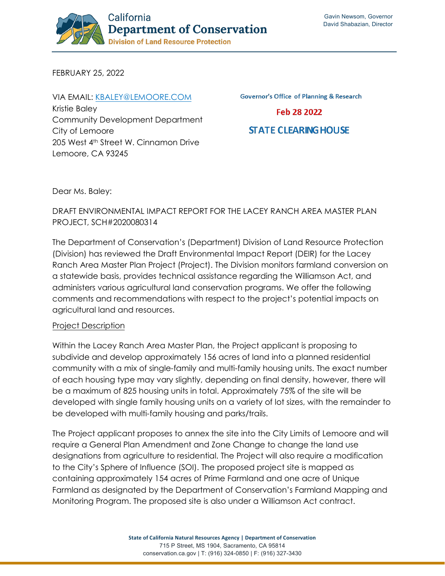

FEBRUARY 25, 2022

VIA EMAIL: [KBALEY@LEMOORE.COM](mailto:kbaley@lemoore.com) Kristie Baley Community Development Department City of Lemoore 205 West 4th Street W. Cinnamon Drive Lemoore, CA 93245

**Governor's Office of Planning & Research** 

Feb 28 2022

## **STATE CLEARING HOUSE**

Dear Ms. Baley:

# DRAFT ENVIRONMENTAL IMPACT REPORT FOR THE LACEY RANCH AREA MASTER PLAN PROJECT, SCH#2020080314

The Department of Conservation's (Department) Division of Land Resource Protection (Division) has reviewed the Draft Environmental Impact Report (DEIR) for the Lacey Ranch Area Master Plan Project (Project). The Division monitors farmland conversion on a statewide basis, provides technical assistance regarding the Williamson Act, and administers various agricultural land conservation programs. We offer the following comments and recommendations with respect to the project's potential impacts on agricultural land and resources.

#### Project Description

Within the Lacey Ranch Area Master Plan, the Project applicant is proposing to subdivide and develop approximately 156 acres of land into a planned residential community with a mix of single-family and multi-family housing units. The exact number of each housing type may vary slightly, depending on final density, however, there will be a maximum of 825 housing units in total. Approximately 75% of the site will be developed with single family housing units on a variety of lot sizes, with the remainder to be developed with multi-family housing and parks/trails.

The Project applicant proposes to annex the site into the City Limits of Lemoore and will require a General Plan Amendment and Zone Change to change the land use designations from agriculture to residential. The Project will also require a modification to the City's Sphere of Influence (SOI). The proposed project site is mapped as containing approximately 154 acres of Prime Farmland and one acre of Unique Farmland as designated by the Department of Conservation's Farmland Mapping and Monitoring Program. The proposed site is also under a Williamson Act contract.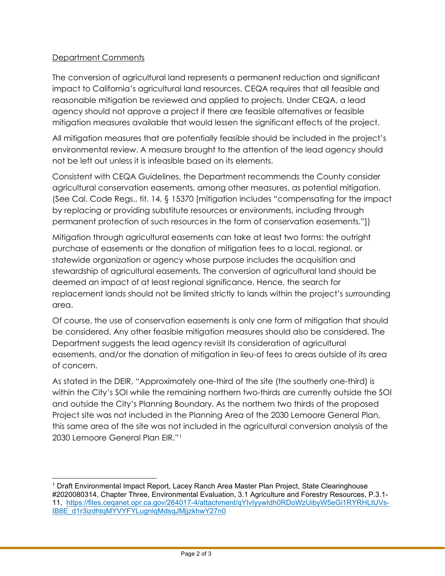## Department Comments

The conversion of agricultural land represents a permanent reduction and significant impact to California's agricultural land resources. CEQA requires that all feasible and reasonable mitigation be reviewed and applied to projects. Under CEQA, a lead agency should not approve a project if there are feasible alternatives or feasible mitigation measures available that would lessen the significant effects of the project.

All mitigation measures that are potentially feasible should be included in the project's environmental review. A measure brought to the attention of the lead agency should not be left out unless it is infeasible based on its elements.

Consistent with CEQA Guidelines, the Department recommends the County consider agricultural conservation easements, among other measures, as potential mitigation. (See Cal. Code Regs., tit. 14, § 15370 [mitigation includes "compensating for the impact by replacing or providing substitute resources or environments, including through permanent protection of such resources in the form of conservation easements."])

Mitigation through agricultural easements can take at least two forms: the outright purchase of easements or the donation of mitigation fees to a local, regional, or statewide organization or agency whose purpose includes the acquisition and stewardship of agricultural easements. The conversion of agricultural land should be deemed an impact of at least regional significance. Hence, the search for replacement lands should not be limited strictly to lands within the project's surrounding area.

Of course, the use of conservation easements is only one form of mitigation that should be considered. Any other feasible mitigation measures should also be considered. The Department suggests the lead agency revisit its consideration of agricultural easements, and/or the donation of mitigation in lieu-of fees to areas outside of its area of concern.

As stated in the DEIR, "Approximately one-third of the site (the southerly one-third) is within the City's SOI while the remaining northern two-thirds are currently outside the SOI and outside the City's Planning Boundary. As the northern two thirds of the proposed Project site was not included in the Planning Area of the 2030 Lemoore General Plan, this same area of the site was not included in the agricultural conversion analysis of the 2030 Lemoore General Plan EIR.["1](#page-1-0)

<span id="page-1-0"></span><sup>1</sup> Draft Environmental Impact Report, Lacey Ranch Area Master Plan Project, State Clearinghouse #2020080314, Chapter Three, Environmental Evaluation, 3.1 Agriculture and Forestry Resources, P.3.1- 11, [https://files.ceqanet.opr.ca.gov/264017-4/attachment/qYIvIyywIdh0RDoWzUibyW5eGi1RYRHLtUVs-](https://files.ceqanet.opr.ca.gov/264017-4/attachment/qYIvIyywIdh0RDoWzUibyW5eGi1RYRHLtUVs-IB8E_d1r3izdhtqMYVYFYLugnlqMdsqJMjjzkhwY27n0)[IB8E\\_d1r3izdhtqMYVYFYLugnlqMdsqJMjjzkhwY27n0](https://files.ceqanet.opr.ca.gov/264017-4/attachment/qYIvIyywIdh0RDoWzUibyW5eGi1RYRHLtUVs-IB8E_d1r3izdhtqMYVYFYLugnlqMdsqJMjjzkhwY27n0)